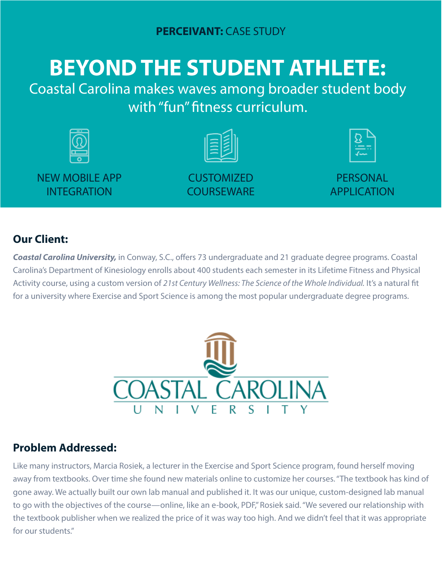# **BEYOND THE STUDENT ATHLETE:**

Coastal Carolina makes waves among broader student body with "fun" fitness curriculum.



NEW MOBILE APP INTEGRATION



**CUSTOMIZED COURSEWARE** 



**PERSONAL** APPLICATION

## **Our Client:**

*Coastal Carolina University,* in Conway, S.C., offers 73 undergraduate and 21 graduate degree programs. Coastal Carolina's Department of Kinesiology enrolls about 400 students each semester in its Lifetime Fitness and Physical Activity course, using a custom version of *21st Century Wellness: The Science of the Whole Individual.* It's a natural fit for a university where Exercise and Sport Science is among the most popular undergraduate degree programs.



## **Problem Addressed:**

Like many instructors, Marcia Rosiek, a lecturer in the Exercise and Sport Science program, found herself moving away from textbooks. Over time she found new materials online to customize her courses. "The textbook has kind of gone away. We actually built our own lab manual and published it. It was our unique, custom-designed lab manual to go with the objectives of the course—online, like an e-book, PDF," Rosiek said. "We severed our relationship with the textbook publisher when we realized the price of it was way too high. And we didn't feel that it was appropriate for our students."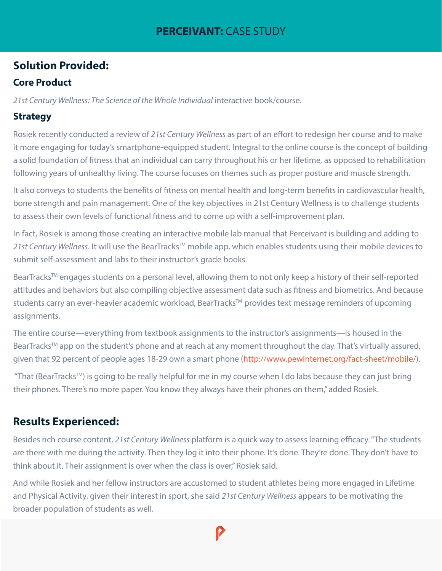#### **PERCEIVANT: CASE STUDY**

### **Solution Provided:**

#### **Core Product**

21st Century Wellness: The Science of the Whole Individual interactive book/course.

#### **Strategy**

Rosiek recently conducted a review of *21st Century Wellness* as part of an effort to redesign her course and to make it more engaging for today's smartphone-equipped student. Integral to the online course is the concept of building a solid foundation of fitness that an individual can carry throughout his or her lifetime, as opposed to rehabilitation following years of unhealthy living. The course focuses on themes such as proper posture and muscle strength.

It also conveys to students the benefits of fitness on mental health and long-term benefits in cardiovascular health, bone strength and pain management. One of the key objectives in 21st Century Wellness is to challenge students to assess their own levels of functional fitness and to come up with a self-improvement plan.

In fact, Rosiek is among those creating an interactive mobile lab manual that Perceivant is building and adding to 21st Century Wellness. It will use the BearTracks™ mobile app, which enables students using their mobile devices to submit self-assessment and labs to their instructor's grade books.

BearTracks™ engages students on a personal level, allowing them to not only keep a history of their self-reported attitudes and behaviors but also compiling objective assessment data such as fitness and biometrics. And because students carry an ever-heavier academic workload, BearTracks™ provides text message reminders of upcoming assignments.

The entire course—everything from textbook assignments to the instructor's assignments—is housed in the BearTracks™ app on the student's phone and at reach at any moment throughout the day. That's virtually assured, given that 92 percent of people ages 18-29 own a smart phone (http://www.pewinternet.org/fact-sheet/mobile/).

 "That (BearTracksTM) is going to be really helpful for me in my course when I do labs because they can just bring their phones. There's no more paper. You know they always have their phones on them," added Rosiek.

## **Results Experienced:**

Besides rich course content, *21st Century Wellness* platform is a quick way to assess learning efficacy. "The students are there with me during the activity. Then they log it into their phone. It's done. They're done. They don't have to think about it. Their assignment is over when the class is over," Rosiek said.

And while Rosiek and her fellow instructors are accustomed to student athletes being more engaged in Lifetime and Physical Activity, given their interest in sport, she said *21st Century Wellness* appears to be motivating the broader population of students as well.